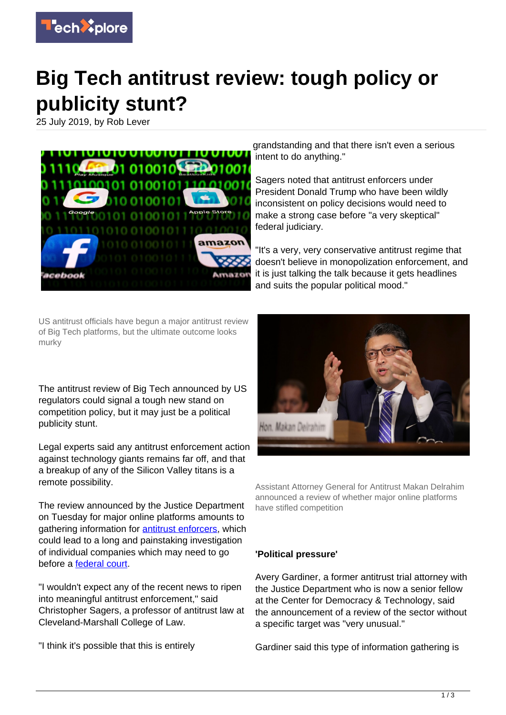

## **Big Tech antitrust review: tough policy or publicity stunt?**

25 July 2019, by Rob Lever



US antitrust officials have begun a major antitrust review of Big Tech platforms, but the ultimate outcome looks murky

The antitrust review of Big Tech announced by US regulators could signal a tough new stand on competition policy, but it may just be a political publicity stunt.

Legal experts said any antitrust enforcement action against technology giants remains far off, and that a breakup of any of the Silicon Valley titans is a remote possibility.

The review announced by the Justice Department on Tuesday for major online platforms amounts to gathering information for [antitrust enforcers,](https://techxplore.com/tags/antitrust+enforcers/) which could lead to a long and painstaking investigation of individual companies which may need to go before a [federal court.](https://techxplore.com/tags/federal+court/)

"I wouldn't expect any of the recent news to ripen into meaningful antitrust enforcement," said Christopher Sagers, a professor of antitrust law at Cleveland-Marshall College of Law.

"I think it's possible that this is entirely

grandstanding and that there isn't even a serious intent to do anything."

Sagers noted that antitrust enforcers under President Donald Trump who have been wildly inconsistent on policy decisions would need to make a strong case before "a very skeptical" federal judiciary.

"It's a very, very conservative antitrust regime that doesn't believe in monopolization enforcement, and it is just talking the talk because it gets headlines and suits the popular political mood."



Assistant Attorney General for Antitrust Makan Delrahim announced a review of whether major online platforms have stifled competition

## **'Political pressure'**

Avery Gardiner, a former antitrust trial attorney with the Justice Department who is now a senior fellow at the Center for Democracy & Technology, said the announcement of a review of the sector without a specific target was "very unusual."

Gardiner said this type of information gathering is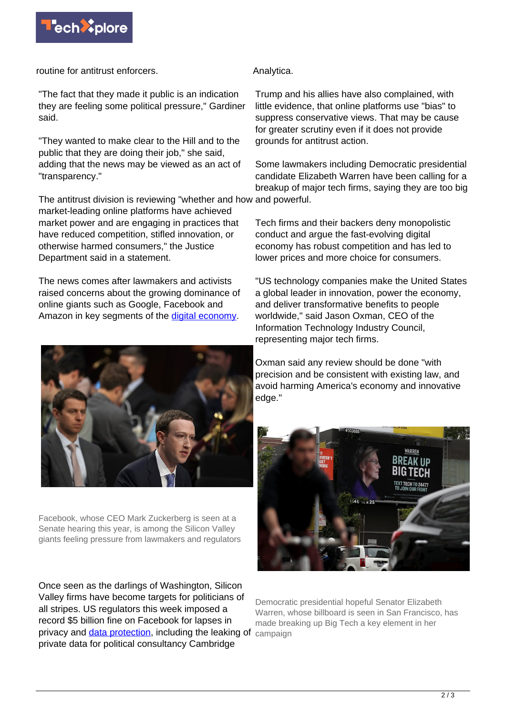

routine for antitrust enforcers.

"The fact that they made it public is an indication they are feeling some political pressure," Gardiner said.

"They wanted to make clear to the Hill and to the public that they are doing their job," she said, adding that the news may be viewed as an act of "transparency."

The antitrust division is reviewing "whether and how and powerful. market-leading online platforms have achieved market power and are engaging in practices that have reduced competition, stifled innovation, or otherwise harmed consumers," the Justice Department said in a statement.

The news comes after lawmakers and activists raised concerns about the growing dominance of online giants such as Google, Facebook and Amazon in key segments of the [digital economy](https://techxplore.com/tags/digital+economy/).



Facebook, whose CEO Mark Zuckerberg is seen at a Senate hearing this year, is among the Silicon Valley giants feeling pressure from lawmakers and regulators

Once seen as the darlings of Washington, Silicon Valley firms have become targets for politicians of all stripes. US regulators this week imposed a record \$5 billion fine on Facebook for lapses in privacy and [data protection](https://techxplore.com/tags/data+protection/), including the leaking of campaign private data for political consultancy Cambridge

Analytica.

Trump and his allies have also complained, with little evidence, that online platforms use "bias" to suppress conservative views. That may be cause for greater scrutiny even if it does not provide grounds for antitrust action.

Some lawmakers including Democratic presidential candidate Elizabeth Warren have been calling for a breakup of major tech firms, saying they are too big

Tech firms and their backers deny monopolistic conduct and argue the fast-evolving digital economy has robust competition and has led to lower prices and more choice for consumers.

"US technology companies make the United States a global leader in innovation, power the economy, and deliver transformative benefits to people worldwide," said Jason Oxman, CEO of the Information Technology Industry Council, representing major tech firms.

Oxman said any review should be done "with precision and be consistent with existing law, and avoid harming America's economy and innovative edge."



Democratic presidential hopeful Senator Elizabeth Warren, whose billboard is seen in San Francisco, has made breaking up Big Tech a key element in her